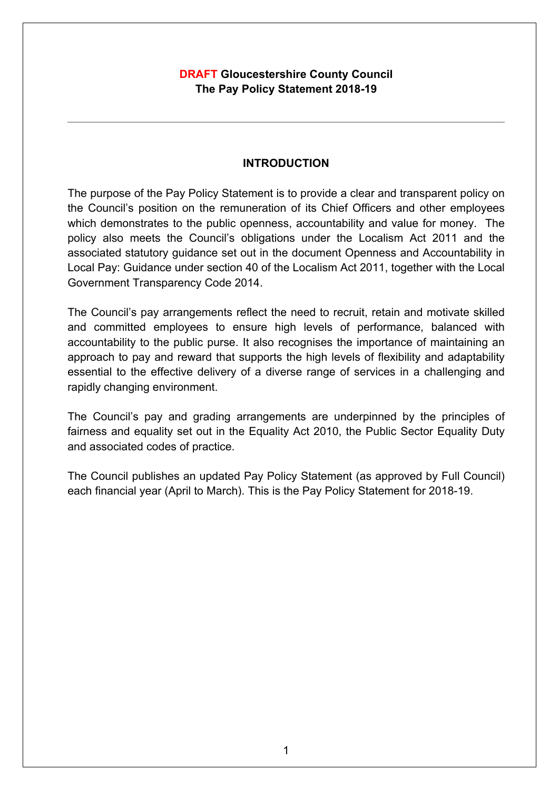# **DRAFT Gloucestershire County Council The Pay Policy Statement 2018-19**

## **INTRODUCTION**

The purpose of the Pay Policy Statement is to provide a clear and transparent policy on the Council's position on the remuneration of its Chief Officers and other employees which demonstrates to the public openness, accountability and value for money. The policy also meets the Council's obligations under the Localism Act 2011 and the associated statutory guidance set out in the document Openness and Accountability in Local Pay: Guidance under section 40 of the Localism Act 2011, together with the Local Government Transparency Code 2014.

The Council's pay arrangements reflect the need to recruit, retain and motivate skilled and committed employees to ensure high levels of performance, balanced with accountability to the public purse. It also recognises the importance of maintaining an approach to pay and reward that supports the high levels of flexibility and adaptability essential to the effective delivery of a diverse range of services in a challenging and rapidly changing environment.

The Council's pay and grading arrangements are underpinned by the principles of fairness and equality set out in the Equality Act 2010, the Public Sector Equality Duty and associated codes of practice.

The Council publishes an updated Pay Policy Statement (as approved by Full Council) each financial year (April to March). This is the Pay Policy Statement for 2018-19.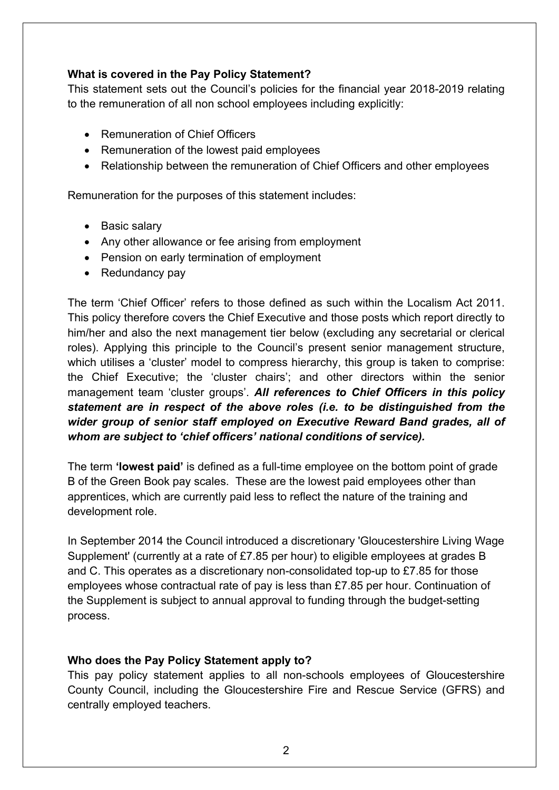## **What is covered in the Pay Policy Statement?**

This statement sets out the Council's policies for the financial year 2018-2019 relating to the remuneration of all non school employees including explicitly:

- Remuneration of Chief Officers
- Remuneration of the lowest paid employees
- Relationship between the remuneration of Chief Officers and other employees

Remuneration for the purposes of this statement includes:

- Basic salary
- Any other allowance or fee arising from employment
- Pension on early termination of employment
- Redundancy pay

The term 'Chief Officer' refers to those defined as such within the Localism Act 2011. This policy therefore covers the Chief Executive and those posts which report directly to him/her and also the next management tier below (excluding any secretarial or clerical roles). Applying this principle to the Council's present senior management structure, which utilises a 'cluster' model to compress hierarchy, this group is taken to comprise: the Chief Executive; the 'cluster chairs'; and other directors within the senior management team 'cluster groups'. *All references to Chief Officers in this policy statement are in respect of the above roles (i.e. to be distinguished from the wider group of senior staff employed on Executive Reward Band grades, all of whom are subject to 'chief officers' national conditions of service).*

The term **'lowest paid'** is defined as a full-time employee on the bottom point of grade B of the Green Book pay scales. These are the lowest paid employees other than apprentices, which are currently paid less to reflect the nature of the training and development role.

In September 2014 the Council introduced a discretionary 'Gloucestershire Living Wage Supplement' (currently at a rate of £7.85 per hour) to eligible employees at grades B and C. This operates as a discretionary non-consolidated top-up to £7.85 for those employees whose contractual rate of pay is less than £7.85 per hour. Continuation of the Supplement is subject to annual approval to funding through the budget-setting process.

## **Who does the Pay Policy Statement apply to?**

This pay policy statement applies to all non-schools employees of Gloucestershire County Council, including the Gloucestershire Fire and Rescue Service (GFRS) and centrally employed teachers.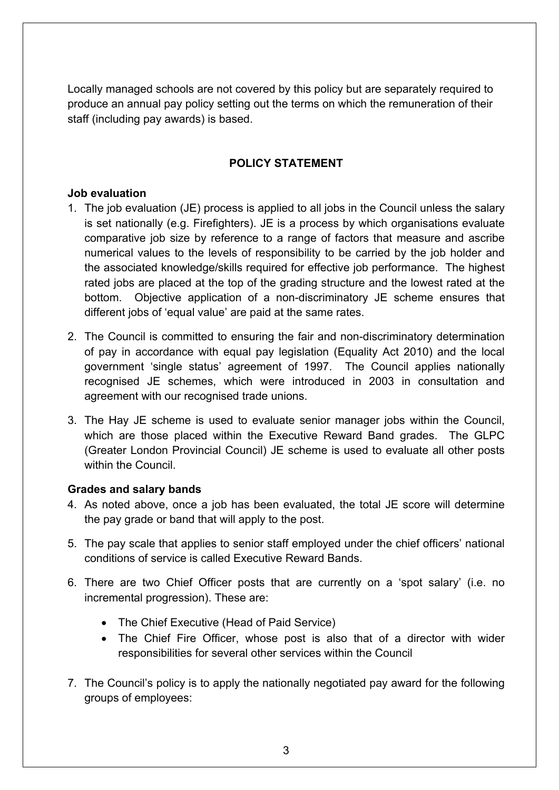Locally managed schools are not covered by this policy but are separately required to produce an annual pay policy setting out the terms on which the remuneration of their staff (including pay awards) is based.

# **POLICY STATEMENT**

### **Job evaluation**

- 1. The job evaluation (JE) process is applied to all jobs in the Council unless the salary is set nationally (e.g. Firefighters). JE is a process by which organisations evaluate comparative job size by reference to a range of factors that measure and ascribe numerical values to the levels of responsibility to be carried by the job holder and the associated knowledge/skills required for effective job performance. The highest rated jobs are placed at the top of the grading structure and the lowest rated at the bottom. Objective application of a non-discriminatory JE scheme ensures that different jobs of 'equal value' are paid at the same rates.
- 2. The Council is committed to ensuring the fair and non-discriminatory determination of pay in accordance with equal pay legislation (Equality Act 2010) and the local government 'single status' agreement of 1997. The Council applies nationally recognised JE schemes, which were introduced in 2003 in consultation and agreement with our recognised trade unions.
- 3. The Hay JE scheme is used to evaluate senior manager jobs within the Council, which are those placed within the Executive Reward Band grades. The GLPC (Greater London Provincial Council) JE scheme is used to evaluate all other posts within the Council.

## **Grades and salary bands**

- 4. As noted above, once a job has been evaluated, the total JE score will determine the pay grade or band that will apply to the post.
- 5. The pay scale that applies to senior staff employed under the chief officers' national conditions of service is called Executive Reward Bands.
- 6. There are two Chief Officer posts that are currently on a 'spot salary' (i.e. no incremental progression). These are:
	- The Chief Executive (Head of Paid Service)
	- The Chief Fire Officer, whose post is also that of a director with wider responsibilities for several other services within the Council
- 7. The Council's policy is to apply the nationally negotiated pay award for the following groups of employees: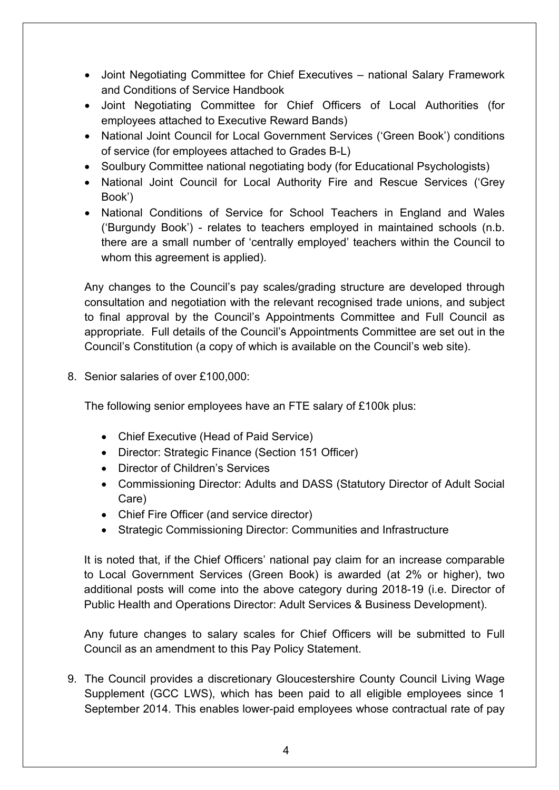- Joint Negotiating Committee for Chief Executives national Salary Framework and Conditions of Service Handbook
- Joint Negotiating Committee for Chief Officers of Local Authorities (for employees attached to Executive Reward Bands)
- National Joint Council for Local Government Services ('Green Book') conditions of service (for employees attached to Grades B-L)
- Soulbury Committee national negotiating body (for Educational Psychologists)
- National Joint Council for Local Authority Fire and Rescue Services ('Grey Book')
- National Conditions of Service for School Teachers in England and Wales ('Burgundy Book') - relates to teachers employed in maintained schools (n.b. there are a small number of 'centrally employed' teachers within the Council to whom this agreement is applied).

Any changes to the Council's pay scales/grading structure are developed through consultation and negotiation with the relevant recognised trade unions, and subject to final approval by the Council's Appointments Committee and Full Council as appropriate. Full details of the Council's Appointments Committee are set out in the Council's Constitution (a copy of which is available on the Council's web site).

8. Senior salaries of over £100,000:

The following senior employees have an FTE salary of £100k plus:

- Chief Executive (Head of Paid Service)
- Director: Strategic Finance (Section 151 Officer)
- Director of Children's Services
- Commissioning Director: Adults and DASS (Statutory Director of Adult Social Care)
- Chief Fire Officer (and service director)
- Strategic Commissioning Director: Communities and Infrastructure

It is noted that, if the Chief Officers' national pay claim for an increase comparable to Local Government Services (Green Book) is awarded (at 2% or higher), two additional posts will come into the above category during 2018-19 (i.e. Director of Public Health and Operations Director: Adult Services & Business Development).

Any future changes to salary scales for Chief Officers will be submitted to Full Council as an amendment to this Pay Policy Statement.

9. The Council provides a discretionary Gloucestershire County Council Living Wage Supplement (GCC LWS), which has been paid to all eligible employees since 1 September 2014. This enables lower-paid employees whose contractual rate of pay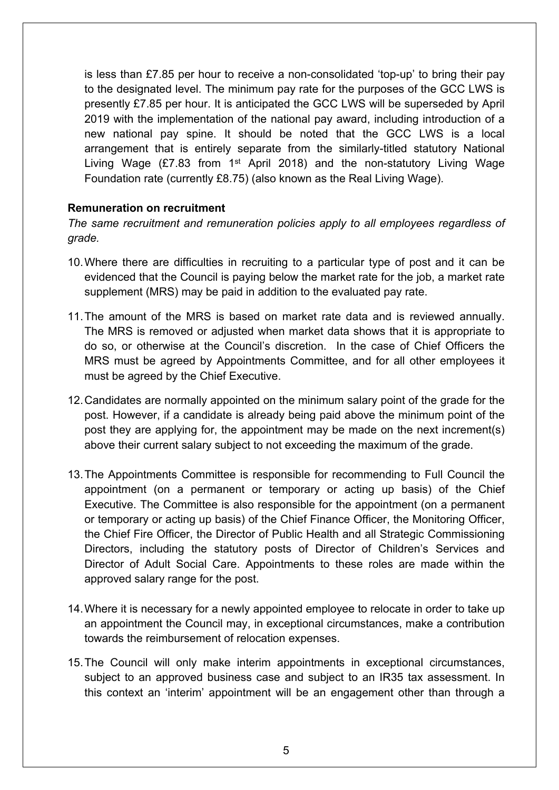is less than £7.85 per hour to receive a non-consolidated 'top-up' to bring their pay to the designated level. The minimum pay rate for the purposes of the GCC LWS is presently £7.85 per hour. It is anticipated the GCC LWS will be superseded by April 2019 with the implementation of the national pay award, including introduction of a new national pay spine. It should be noted that the GCC LWS is a local arrangement that is entirely separate from the similarly-titled statutory National Living Wage (£7.83 from 1<sup>st</sup> April 2018) and the non-statutory Living Wage Foundation rate (currently £8.75) (also known as the Real Living Wage).

#### **Remuneration on recruitment**

*The same recruitment and remuneration policies apply to all employees regardless of grade.*

- 10.Where there are difficulties in recruiting to a particular type of post and it can be evidenced that the Council is paying below the market rate for the job, a market rate supplement (MRS) may be paid in addition to the evaluated pay rate.
- 11.The amount of the MRS is based on market rate data and is reviewed annually. The MRS is removed or adjusted when market data shows that it is appropriate to do so, or otherwise at the Council's discretion. In the case of Chief Officers the MRS must be agreed by Appointments Committee, and for all other employees it must be agreed by the Chief Executive.
- 12.Candidates are normally appointed on the minimum salary point of the grade for the post. However, if a candidate is already being paid above the minimum point of the post they are applying for, the appointment may be made on the next increment(s) above their current salary subject to not exceeding the maximum of the grade.
- 13.The Appointments Committee is responsible for recommending to Full Council the appointment (on a permanent or temporary or acting up basis) of the Chief Executive. The Committee is also responsible for the appointment (on a permanent or temporary or acting up basis) of the Chief Finance Officer, the Monitoring Officer, the Chief Fire Officer, the Director of Public Health and all Strategic Commissioning Directors, including the statutory posts of Director of Children's Services and Director of Adult Social Care. Appointments to these roles are made within the approved salary range for the post.
- 14.Where it is necessary for a newly appointed employee to relocate in order to take up an appointment the Council may, in exceptional circumstances, make a contribution towards the reimbursement of relocation expenses.
- 15.The Council will only make interim appointments in exceptional circumstances, subject to an approved business case and subject to an IR35 tax assessment. In this context an 'interim' appointment will be an engagement other than through a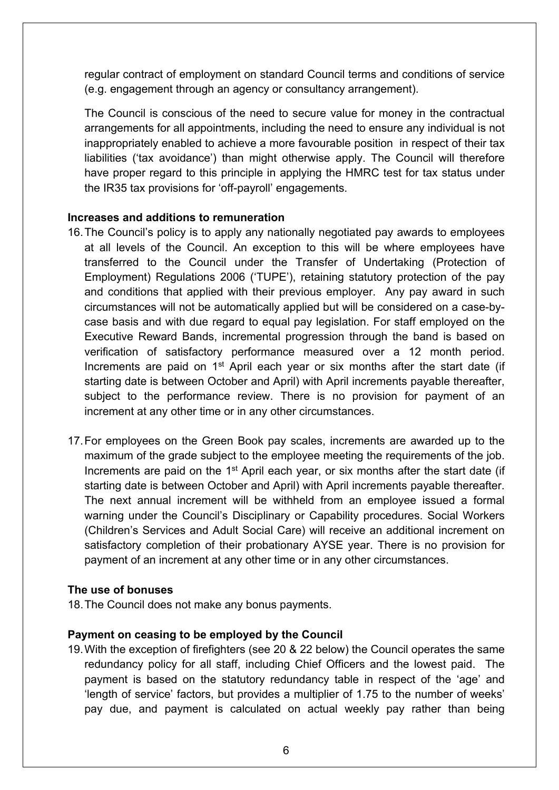regular contract of employment on standard Council terms and conditions of service (e.g. engagement through an agency or consultancy arrangement).

The Council is conscious of the need to secure value for money in the contractual arrangements for all appointments, including the need to ensure any individual is not inappropriately enabled to achieve a more favourable position in respect of their tax liabilities ('tax avoidance') than might otherwise apply. The Council will therefore have proper regard to this principle in applying the HMRC test for tax status under the IR35 tax provisions for 'off-payroll' engagements.

#### **Increases and additions to remuneration**

- 16.The Council's policy is to apply any nationally negotiated pay awards to employees at all levels of the Council. An exception to this will be where employees have transferred to the Council under the Transfer of Undertaking (Protection of Employment) Regulations 2006 ('TUPE'), retaining statutory protection of the pay and conditions that applied with their previous employer. Any pay award in such circumstances will not be automatically applied but will be considered on a case-bycase basis and with due regard to equal pay legislation. For staff employed on the Executive Reward Bands, incremental progression through the band is based on verification of satisfactory performance measured over a 12 month period. Increments are paid on 1<sup>st</sup> April each year or six months after the start date (if starting date is between October and April) with April increments payable thereafter, subject to the performance review. There is no provision for payment of an increment at any other time or in any other circumstances.
- 17.For employees on the Green Book pay scales, increments are awarded up to the maximum of the grade subject to the employee meeting the requirements of the job. Increments are paid on the 1<sup>st</sup> April each year, or six months after the start date (if starting date is between October and April) with April increments payable thereafter. The next annual increment will be withheld from an employee issued a formal warning under the Council's Disciplinary or Capability procedures. Social Workers (Children's Services and Adult Social Care) will receive an additional increment on satisfactory completion of their probationary AYSE year. There is no provision for payment of an increment at any other time or in any other circumstances.

#### **The use of bonuses**

18.The Council does not make any bonus payments.

#### **Payment on ceasing to be employed by the Council**

19.With the exception of firefighters (see 20 & 22 below) the Council operates the same redundancy policy for all staff, including Chief Officers and the lowest paid. The payment is based on the statutory redundancy table in respect of the 'age' and 'length of service' factors, but provides a multiplier of 1.75 to the number of weeks' pay due, and payment is calculated on actual weekly pay rather than being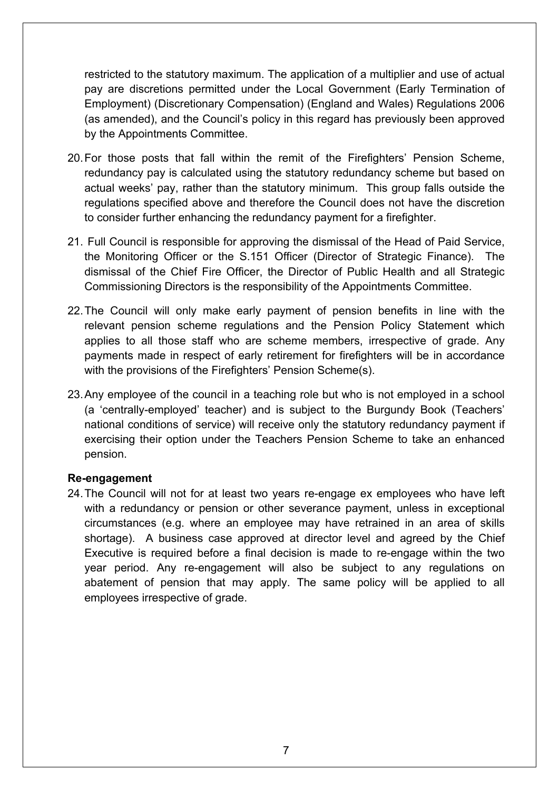restricted to the statutory maximum. The application of a multiplier and use of actual pay are discretions permitted under the Local Government (Early Termination of Employment) (Discretionary Compensation) (England and Wales) Regulations 2006 (as amended), and the Council's policy in this regard has previously been approved by the Appointments Committee.

- 20.For those posts that fall within the remit of the Firefighters' Pension Scheme, redundancy pay is calculated using the statutory redundancy scheme but based on actual weeks' pay, rather than the statutory minimum. This group falls outside the regulations specified above and therefore the Council does not have the discretion to consider further enhancing the redundancy payment for a firefighter.
- 21. Full Council is responsible for approving the dismissal of the Head of Paid Service, the Monitoring Officer or the S.151 Officer (Director of Strategic Finance). The dismissal of the Chief Fire Officer, the Director of Public Health and all Strategic Commissioning Directors is the responsibility of the Appointments Committee.
- 22.The Council will only make early payment of pension benefits in line with the relevant pension scheme regulations and the Pension Policy Statement which applies to all those staff who are scheme members, irrespective of grade. Any payments made in respect of early retirement for firefighters will be in accordance with the provisions of the Firefighters' Pension Scheme(s).
- 23.Any employee of the council in a teaching role but who is not employed in a school (a 'centrally-employed' teacher) and is subject to the Burgundy Book (Teachers' national conditions of service) will receive only the statutory redundancy payment if exercising their option under the Teachers Pension Scheme to take an enhanced pension.

#### **Re-engagement**

24.The Council will not for at least two years re-engage ex employees who have left with a redundancy or pension or other severance payment, unless in exceptional circumstances (e.g. where an employee may have retrained in an area of skills shortage). A business case approved at director level and agreed by the Chief Executive is required before a final decision is made to re-engage within the two year period. Any re-engagement will also be subject to any regulations on abatement of pension that may apply. The same policy will be applied to all employees irrespective of grade.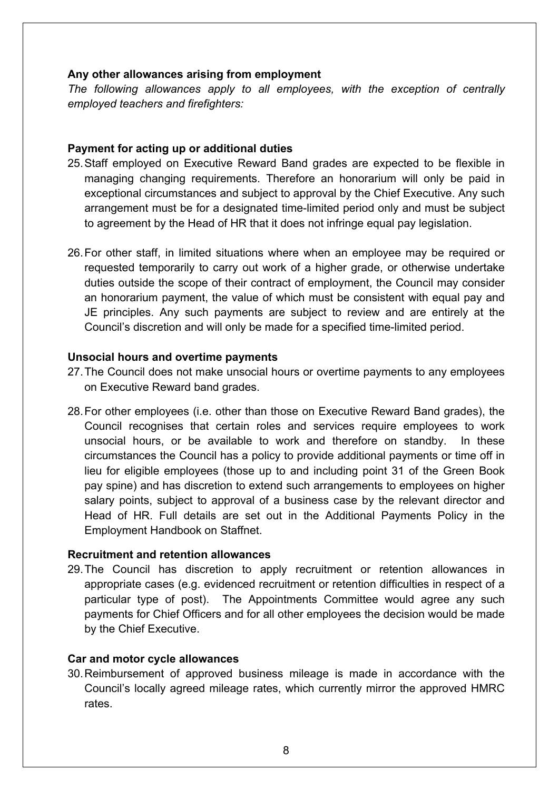#### **Any other allowances arising from employment**

*The following allowances apply to all employees, with the exception of centrally employed teachers and firefighters:*

### **Payment for acting up or additional duties**

- 25.Staff employed on Executive Reward Band grades are expected to be flexible in managing changing requirements. Therefore an honorarium will only be paid in exceptional circumstances and subject to approval by the Chief Executive. Any such arrangement must be for a designated time-limited period only and must be subject to agreement by the Head of HR that it does not infringe equal pay legislation.
- 26.For other staff, in limited situations where when an employee may be required or requested temporarily to carry out work of a higher grade, or otherwise undertake duties outside the scope of their contract of employment, the Council may consider an honorarium payment, the value of which must be consistent with equal pay and JE principles. Any such payments are subject to review and are entirely at the Council's discretion and will only be made for a specified time-limited period.

### **Unsocial hours and overtime payments**

- 27.The Council does not make unsocial hours or overtime payments to any employees on Executive Reward band grades.
- 28.For other employees (i.e. other than those on Executive Reward Band grades), the Council recognises that certain roles and services require employees to work unsocial hours, or be available to work and therefore on standby. In these circumstances the Council has a policy to provide additional payments or time off in lieu for eligible employees (those up to and including point 31 of the Green Book pay spine) and has discretion to extend such arrangements to employees on higher salary points, subject to approval of a business case by the relevant director and Head of HR. Full details are set out in the Additional Payments Policy in the Employment Handbook on Staffnet.

#### **Recruitment and retention allowances**

29.The Council has discretion to apply recruitment or retention allowances in appropriate cases (e.g. evidenced recruitment or retention difficulties in respect of a particular type of post). The Appointments Committee would agree any such payments for Chief Officers and for all other employees the decision would be made by the Chief Executive.

## **Car and motor cycle allowances**

30.Reimbursement of approved business mileage is made in accordance with the Council's locally agreed mileage rates, which currently mirror the approved HMRC rates.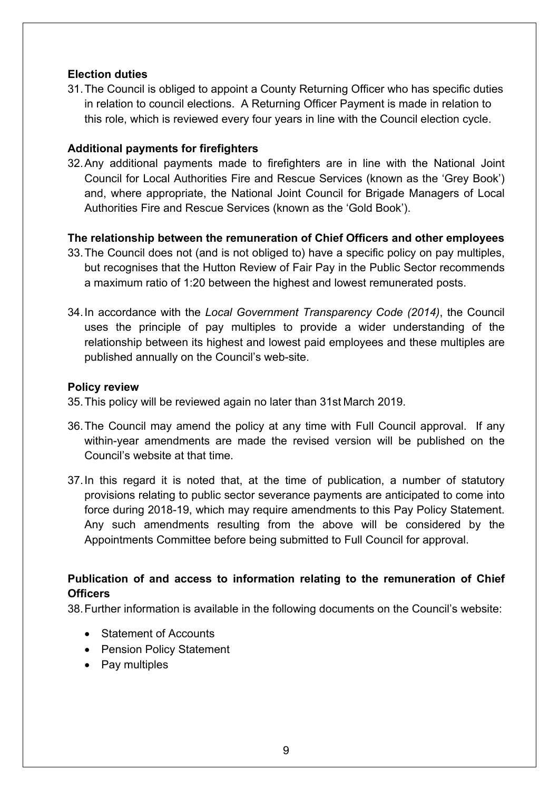## **Election duties**

31.The Council is obliged to appoint a County Returning Officer who has specific duties in relation to council elections. A Returning Officer Payment is made in relation to this role, which is reviewed every four years in line with the Council election cycle.

### **Additional payments for firefighters**

32.Any additional payments made to firefighters are in line with the National Joint Council for Local Authorities Fire and Rescue Services (known as the 'Grey Book') and, where appropriate, the National Joint Council for Brigade Managers of Local Authorities Fire and Rescue Services (known as the 'Gold Book').

### **The relationship between the remuneration of Chief Officers and other employees**

- 33.The Council does not (and is not obliged to) have a specific policy on pay multiples, but recognises that the Hutton Review of Fair Pay in the Public Sector recommends a maximum ratio of 1:20 between the highest and lowest remunerated posts.
- 34.In accordance with the *Local Government Transparency Code (2014)*, the Council uses the principle of pay multiples to provide a wider understanding of the relationship between its highest and lowest paid employees and these multiples are published annually on the Council's web-site.

#### **Policy review**

- 35.This policy will be reviewed again no later than 31st March 2019.
- 36.The Council may amend the policy at any time with Full Council approval. If any within-year amendments are made the revised version will be published on the Council's website at that time.
- 37.In this regard it is noted that, at the time of publication, a number of statutory provisions relating to public sector severance payments are anticipated to come into force during 2018-19, which may require amendments to this Pay Policy Statement. Any such amendments resulting from the above will be considered by the Appointments Committee before being submitted to Full Council for approval.

# **Publication of and access to information relating to the remuneration of Chief Officers**

38.Further information is available in the following documents on the Council's website:

- Statement of Accounts
- Pension Policy Statement
- Pay multiples